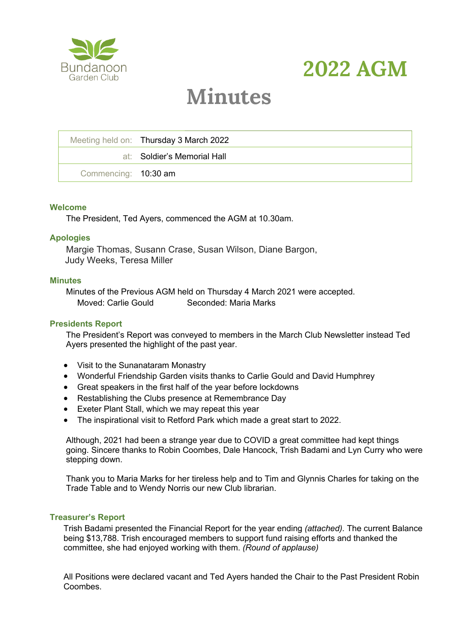



# **Minutes**

|                      | Meeting held on: Thursday 3 March 2022 |
|----------------------|----------------------------------------|
|                      | at: Soldier's Memorial Hall            |
| Commencing: 10:30 am |                                        |

#### **Welcome**

The President, Ted Ayers, commenced the AGM at 10.30am.

#### **Apologies**

Margie Thomas, Susann Crase, Susan Wilson, Diane Bargon, Judy Weeks, Teresa Miller

#### **Minutes**

Minutes of the Previous AGM held on Thursday 4 March 2021 were accepted. Moved: Carlie Gould Seconded: Maria Marks

#### **Presidents Report**

The President's Report was conveyed to members in the March Club Newsletter instead Ted Ayers presented the highlight of the past year.

- Visit to the Sunanataram Monastry
- Wonderful Friendship Garden visits thanks to Carlie Gould and David Humphrey
- Great speakers in the first half of the year before lockdowns
- Restablishing the Clubs presence at Remembrance Day
- Exeter Plant Stall, which we may repeat this year
- The inspirational visit to Retford Park which made a great start to 2022.

Although, 2021 had been a strange year due to COVID a great committee had kept things going. Sincere thanks to Robin Coombes, Dale Hancock, Trish Badami and Lyn Curry who were stepping down.

Thank you to Maria Marks for her tireless help and to Tim and Glynnis Charles for taking on the Trade Table and to Wendy Norris our new Club librarian.

#### **Treasurer's Report**

Trish Badami presented the Financial Report for the year ending *(attached).* The current Balance being \$13,788. Trish encouraged members to support fund raising efforts and thanked the committee, she had enjoyed working with them. *(Round of applause)*

All Positions were declared vacant and Ted Ayers handed the Chair to the Past President Robin Coombes.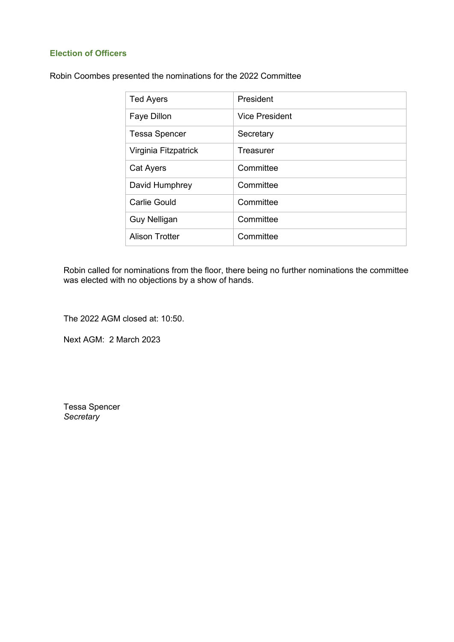### **Election of Officers**

Robin Coombes presented the nominations for the 2022 Committee

| <b>Ted Ayers</b>      | President             |
|-----------------------|-----------------------|
| Faye Dillon           | <b>Vice President</b> |
| <b>Tessa Spencer</b>  | Secretary             |
| Virginia Fitzpatrick  | Treasurer             |
| Cat Ayers             | Committee             |
| David Humphrey        | Committee             |
| Carlie Gould          | Committee             |
| <b>Guy Nelligan</b>   | Committee             |
| <b>Alison Trotter</b> | Committee             |

Robin called for nominations from the floor, there being no further nominations the committee was elected with no objections by a show of hands.

The 2022 AGM closed at: 10:50.

Next AGM: 2 March 2023

Tessa Spencer *Secretary*